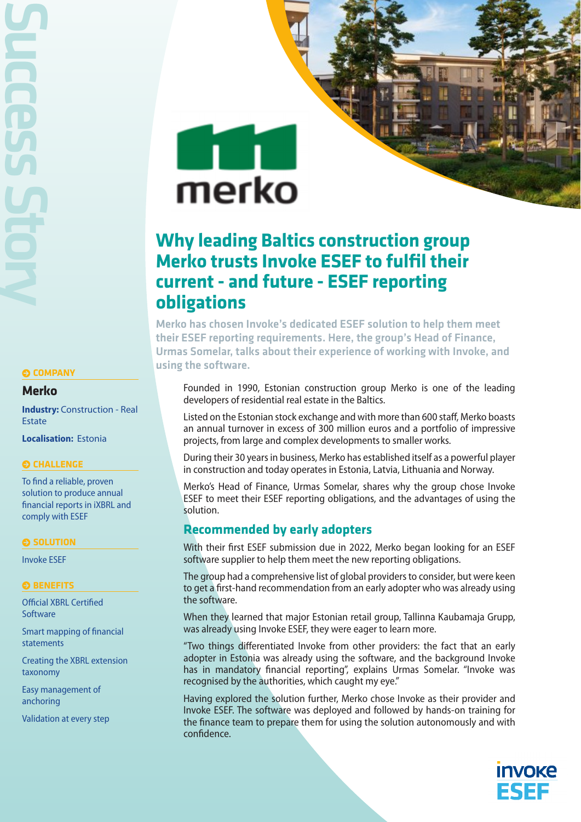Success Story

### **COMPANY**

### **Merko**

**Industry: Construction - Real** Estate

**Localisation:** Estonia

### **CHALLENGE**

To find a reliable, proven solution to produce annual financial reports in iXBRL and comply with ESEF

#### **SOLUTION**

Invoke ESEF

### **BENEFITS**

Official XBRL Certified **Software** 

Smart mapping of financial statements

Creating the XBRL extension taxonomy

Easy management of anchoring

Validation at every step

# $\pm 1$ merko

# **Why leading Baltics construction group Merko trusts Invoke ESEF to fulfil their current - and future - ESEF reporting obligations**

Merko has chosen Invoke's dedicated ESEF solution to help them meet their ESEF reporting requirements. Here, the group's Head of Finance, Urmas Somelar, talks about their experience of working with Invoke, and using the software.

Founded in 1990, Estonian construction group Merko is one of the leading developers of residential real estate in the Baltics.

Listed on the Estonian stock exchange and with more than 600 staff, Merko boasts an annual turnover in excess of 300 million euros and a portfolio of impressive projects, from large and complex developments to smaller works.

During their 30 years in business, Merko has established itself as a powerful player in construction and today operates in Estonia, Latvia, Lithuania and Norway.

Merko's Head of Finance, Urmas Somelar, shares why the group chose Invoke ESEF to meet their ESEF reporting obligations, and the advantages of using the solution.

## **Recommended by early adopters**

With their first ESEF submission due in 2022, Merko began looking for an ESEF software supplier to help them meet the new reporting obligations.

The group had a comprehensive list of global providers to consider, but were keen to get a first-hand recommendation from an early adopter who was already using the software.

When they learned that major Estonian retail group, Tallinna Kaubamaja Grupp, was already using Invoke ESEF, they were eager to learn more.

"Two things differentiated Invoke from other providers: the fact that an early adopter in Estonia was already using the software, and the background Invoke has in mandatory financial reporting", explains Urmas Somelar. "Invoke was recognised by the authorities, which caught my eye."

Having explored the solution further, Merko chose Invoke as their provider and Invoke ESEF. The software was deployed and followed by hands-on training for the finance team to prepare them for using the solution autonomously and with confidence.